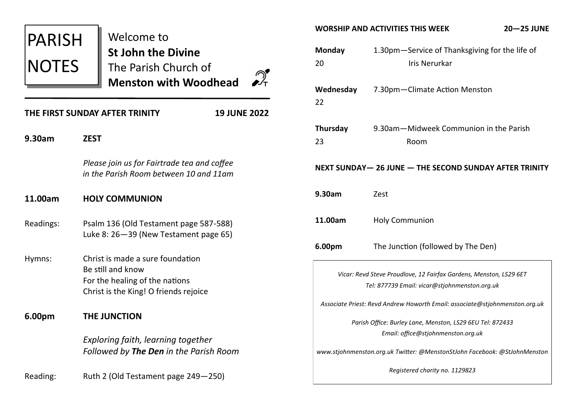| <b>PARISH</b><br><b>NOTES</b>                         |                                                                                                                                  | Welcome to<br><b>St John the Divine</b><br>The Parish Church of<br><b>Menston with Woodhead</b> |  |  |  |
|-------------------------------------------------------|----------------------------------------------------------------------------------------------------------------------------------|-------------------------------------------------------------------------------------------------|--|--|--|
| THE FIRST SUNDAY AFTER TRINITY<br><b>19 JUNE 2022</b> |                                                                                                                                  |                                                                                                 |  |  |  |
| 9.30am                                                | <b>ZEST</b>                                                                                                                      |                                                                                                 |  |  |  |
|                                                       |                                                                                                                                  | Please join us for Fairtrade tea and coffee<br>in the Parish Room between 10 and 11am           |  |  |  |
| 11.00am                                               | <b>HOLY COMMUNION</b>                                                                                                            |                                                                                                 |  |  |  |
| Readings:                                             | Psalm 136 (Old Testament page 587-588)<br>Luke 8: 26-39 (New Testament page 65)                                                  |                                                                                                 |  |  |  |
| Hymns:                                                | Christ is made a sure foundation<br>Be still and know<br>For the healing of the nations<br>Christ is the King! O friends rejoice |                                                                                                 |  |  |  |
| 6.00pm                                                | <b>THE JUNCTION</b>                                                                                                              |                                                                                                 |  |  |  |
|                                                       |                                                                                                                                  | Exploring faith, learning together<br>Followed by The Den in the Parish Room                    |  |  |  |
| Reading:                                              |                                                                                                                                  | Ruth 2 (Old Testament page 249-250)                                                             |  |  |  |

| WORSHIP AND ACTIVITIES THIS WEEK<br><b>20-25 JUNE</b>                                                               |                                                                        |  |  |  |  |
|---------------------------------------------------------------------------------------------------------------------|------------------------------------------------------------------------|--|--|--|--|
| Monday<br>20                                                                                                        | 1.30pm-Service of Thanksgiving for the life of<br><b>Iris Nerurkar</b> |  |  |  |  |
| Wednesday<br>22                                                                                                     | 7.30pm-Climate Action Menston                                          |  |  |  |  |
| Thursday<br>23                                                                                                      | 9.30am-Midweek Communion in the Parish<br>Room                         |  |  |  |  |
| NEXT SUNDAY- 26 JUNE - THE SECOND SUNDAY AFTER TRINITY                                                              |                                                                        |  |  |  |  |
| 9.30am                                                                                                              | Zest                                                                   |  |  |  |  |
| 11.00am                                                                                                             | <b>Holy Communion</b>                                                  |  |  |  |  |
| 6.00pm                                                                                                              | The Junction (followed by The Den)                                     |  |  |  |  |
| Vicar: Revd Steve Proudlove, 12 Fairfax Gardens, Menston, LS29 6ET<br>Tel: 877739 Email: vicar@stjohnmenston.org.uk |                                                                        |  |  |  |  |
| Associate Priest: Revd Andrew Howorth Email: associate@stjohnmenston.org.uk                                         |                                                                        |  |  |  |  |
| Parish Office: Burley Lane, Menston, LS29 6EU Tel: 872433<br>Email: office@stjohnmenston.org.uk                     |                                                                        |  |  |  |  |
| www.stjohnmenston.org.uk Twitter: @MenstonStJohn Facebook: @StJohnMenston                                           |                                                                        |  |  |  |  |
| Registered charity no. 1129823                                                                                      |                                                                        |  |  |  |  |